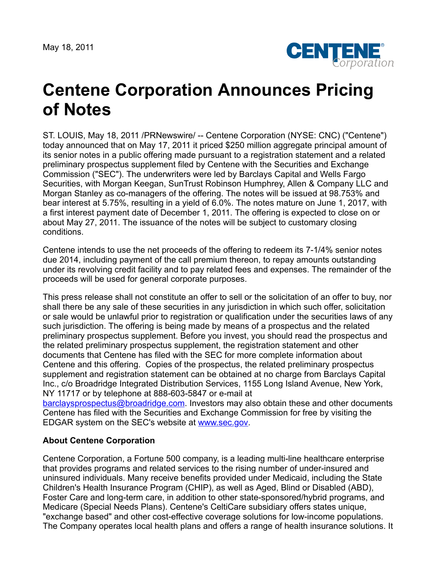May 18, 2011



## **Centene Corporation Announces Pricing of Notes**

ST. LOUIS, May 18, 2011 /PRNewswire/ -- Centene Corporation (NYSE: CNC) ("Centene") today announced that on May 17, 2011 it priced \$250 million aggregate principal amount of its senior notes in a public offering made pursuant to a registration statement and a related preliminary prospectus supplement filed by Centene with the Securities and Exchange Commission ("SEC"). The underwriters were led by Barclays Capital and Wells Fargo Securities, with Morgan Keegan, SunTrust Robinson Humphrey, Allen & Company LLC and Morgan Stanley as co-managers of the offering. The notes will be issued at 98.753% and bear interest at 5.75%, resulting in a yield of 6.0%. The notes mature on June 1, 2017, with a first interest payment date of December 1, 2011. The offering is expected to close on or about May 27, 2011. The issuance of the notes will be subject to customary closing conditions.

Centene intends to use the net proceeds of the offering to redeem its 7-1/4% senior notes due 2014, including payment of the call premium thereon, to repay amounts outstanding under its revolving credit facility and to pay related fees and expenses. The remainder of the proceeds will be used for general corporate purposes.

This press release shall not constitute an offer to sell or the solicitation of an offer to buy, nor shall there be any sale of these securities in any jurisdiction in which such offer, solicitation or sale would be unlawful prior to registration or qualification under the securities laws of any such jurisdiction. The offering is being made by means of a prospectus and the related preliminary prospectus supplement. Before you invest, you should read the prospectus and the related preliminary prospectus supplement, the registration statement and other documents that Centene has filed with the SEC for more complete information about Centene and this offering. Copies of the prospectus, the related preliminary prospectus supplement and registration statement can be obtained at no charge from Barclays Capital Inc., c/o Broadridge Integrated Distribution Services, 1155 Long Island Avenue, New York, NY 11717 or by telephone at 888-603-5847 or e-mail at

[barclaysprospectus@broadridge.com.](mailto:barclaysprospectus@broadridge.com) Investors may also obtain these and other documents Centene has filed with the Securities and Exchange Commission for free by visiting the EDGAR system on the SEC's website at [www.sec.gov.](http://www.sec.gov/)

## **About Centene Corporation**

Centene Corporation, a Fortune 500 company, is a leading multi-line healthcare enterprise that provides programs and related services to the rising number of under-insured and uninsured individuals. Many receive benefits provided under Medicaid, including the State Children's Health Insurance Program (CHIP), as well as Aged, Blind or Disabled (ABD), Foster Care and long-term care, in addition to other state-sponsored/hybrid programs, and Medicare (Special Needs Plans). Centene's CeltiCare subsidiary offers states unique, "exchange based" and other cost-effective coverage solutions for low-income populations. The Company operates local health plans and offers a range of health insurance solutions. It